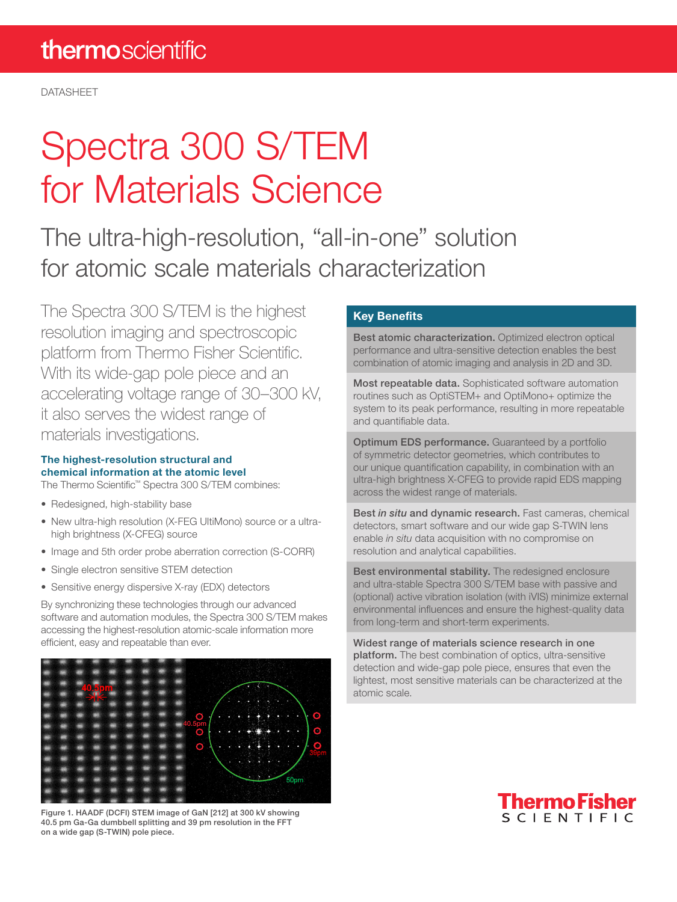DATASHEET

# Spectra 300 S/TEM for Materials Science

The ultra-high-resolution, "all-in-one" solution for atomic scale materials characterization

The Spectra 300 S/TEM is the highest resolution imaging and spectroscopic platform from Thermo Fisher Scientific. With its wide-gap pole piece and an accelerating voltage range of 30–300 kV, it also serves the widest range of materials investigations.

#### The highest-resolution structural and chemical information at the atomic level

The Thermo Scientific™ Spectra 300 S/TEM combines:

- Redesigned, high-stability base
- New ultra-high resolution (X-FEG UltiMono) source or a ultrahigh brightness (X-CFEG) source
- Image and 5th order probe aberration correction (S-CORR)
- Single electron sensitive STEM detection
- Sensitive energy dispersive X-ray (EDX) detectors

By synchronizing these technologies through our advanced software and automation modules, the Spectra 300 S/TEM makes accessing the highest-resolution atomic-scale information more efficient, easy and repeatable than ever.



Figure 1. HAADF (DCFI) STEM image of GaN [212] at 300 kV showing 40.5 pm Ga-Ga dumbbell splitting and 39 pm resolution in the FFT on a wide gap (S-TWIN) pole piece.

#### Key Benefits

Best atomic characterization. Optimized electron optical performance and ultra-sensitive detection enables the best combination of atomic imaging and analysis in 2D and 3D.

Most repeatable data. Sophisticated software automation routines such as OptiSTEM+ and OptiMono+ optimize the system to its peak performance, resulting in more repeatable and quantifiable data.

Optimum EDS performance. Guaranteed by a portfolio of symmetric detector geometries, which contributes to our unique quantification capability, in combination with an ultra-high brightness X-CFEG to provide rapid EDS mapping across the widest range of materials.

Best *in situ* and dynamic research. Fast cameras, chemical detectors, smart software and our wide gap S-TWIN lens enable *in situ* data acquisition with no compromise on resolution and analytical capabilities.

Best environmental stability. The redesigned enclosure and ultra-stable Spectra 300 S/TEM base with passive and (optional) active vibration isolation (with iVIS) minimize external environmental influences and ensure the highest-quality data from long-term and short-term experiments.

Widest range of materials science research in one platform. The best combination of optics, ultra-sensitive detection and wide-gap pole piece, ensures that even the lightest, most sensitive materials can be characterized at the atomic scale.

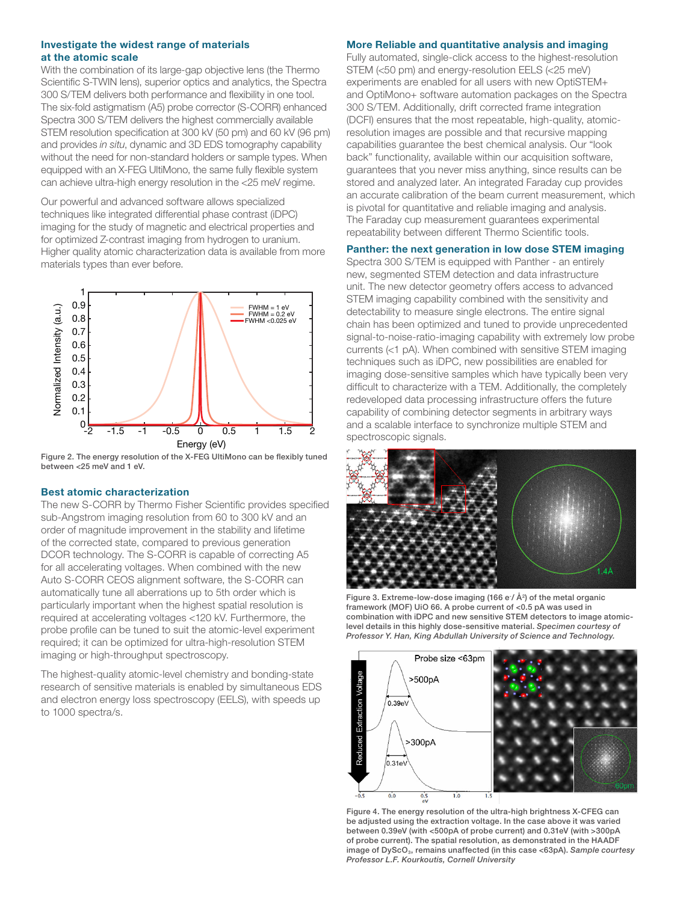#### Investigate the widest range of materials at the atomic scale

With the combination of its large-gap objective lens (the Thermo Scientific S-TWIN lens), superior optics and analytics, the Spectra 300 S/TEM delivers both performance and flexibility in one tool. The six-fold astigmatism (A5) probe corrector (S-CORR) enhanced Spectra 300 S/TEM delivers the highest commercially available STEM resolution specification at 300 kV (50 pm) and 60 kV (96 pm) and provides *in situ*, dynamic and 3D EDS tomography capability without the need for non-standard holders or sample types. When equipped with an X-FEG UltiMono, the same fully flexible system can achieve ultra-high energy resolution in the <25 meV regime.

Our powerful and advanced software allows specialized techniques like integrated differential phase contrast (iDPC) imaging for the study of magnetic and electrical properties and for optimized Z-contrast imaging from hydrogen to uranium. Higher quality atomic characterization data is available from more materials types than ever before.



Figure 2. The energy resolution of the X-FEG UltiMono can be flexibly tuned between <25 meV and 1 eV.

#### Best atomic characterization

The new S-CORR by Thermo Fisher Scientific provides specified sub-Angstrom imaging resolution from 60 to 300 kV and an order of magnitude improvement in the stability and lifetime of the corrected state, compared to previous generation DCOR technology. The S-CORR is capable of correcting A5 for all accelerating voltages. When combined with the new Auto S-CORR CEOS alignment software, the S-CORR can automatically tune all aberrations up to 5th order which is particularly important when the highest spatial resolution is required at accelerating voltages <120 kV. Furthermore, the probe profile can be tuned to suit the atomic-level experiment required; it can be optimized for ultra-high-resolution STEM imaging or high-throughput spectroscopy.

The highest-quality atomic-level chemistry and bonding-state research of sensitive materials is enabled by simultaneous EDS and electron energy loss spectroscopy (EELS), with speeds up to 1000 spectra/s.

#### More Reliable and quantitative analysis and imaging

Fully automated, single-click access to the highest-resolution STEM (<50 pm) and energy-resolution EELS (<25 meV) experiments are enabled for all users with new OptiSTEM+ and OptiMono+ software automation packages on the Spectra 300 S/TEM. Additionally, drift corrected frame integration (DCFI) ensures that the most repeatable, high-quality, atomicresolution images are possible and that recursive mapping capabilities guarantee the best chemical analysis. Our "look back" functionality, available within our acquisition software, guarantees that you never miss anything, since results can be stored and analyzed later. An integrated Faraday cup provides an accurate calibration of the beam current measurement, which is pivotal for quantitative and reliable imaging and analysis. The Faraday cup measurement guarantees experimental repeatability between different Thermo Scientific tools.

#### Panther: the next generation in low dose STEM imaging

Spectra 300 S/TEM is equipped with Panther - an entirely new, segmented STEM detection and data infrastructure unit. The new detector geometry offers access to advanced STEM imaging capability combined with the sensitivity and detectability to measure single electrons. The entire signal chain has been optimized and tuned to provide unprecedented signal-to-noise-ratio-imaging capability with extremely low probe currents (<1 pA). When combined with sensitive STEM imaging techniques such as iDPC, new possibilities are enabled for imaging dose-sensitive samples which have typically been very difficult to characterize with a TEM. Additionally, the completely redeveloped data processing infrastructure offers the future capability of combining detector segments in arbitrary ways and a scalable interface to synchronize multiple STEM and spectroscopic signals.



Figure 3. Extreme-low-dose imaging (166 e  $/$  Å $^{2}$ ) of the metal organic framework (MOF) UiO 66. A probe current of <0.5 pA was used in combination with iDPC and new sensitive STEM detectors to image atomiclevel details in this highly dose-sensitive material. *Specimen courtesy of Professor Y. Han, King Abdullah University of Science and Technology.*



Figure 4. The energy resolution of the ultra-high brightness X-CFEG can be adjusted using the extraction voltage. In the case above it was varied between 0.39eV (with <500pA of probe current) and 0.31eV (with >300pA of probe current). The spatial resolution, as demonstrated in the HAADF image of DyScO<sub>3</sub>, remains unaffected (in this case <63pA). Sample courtesy *Professor L.F. Kourkoutis, Cornell University*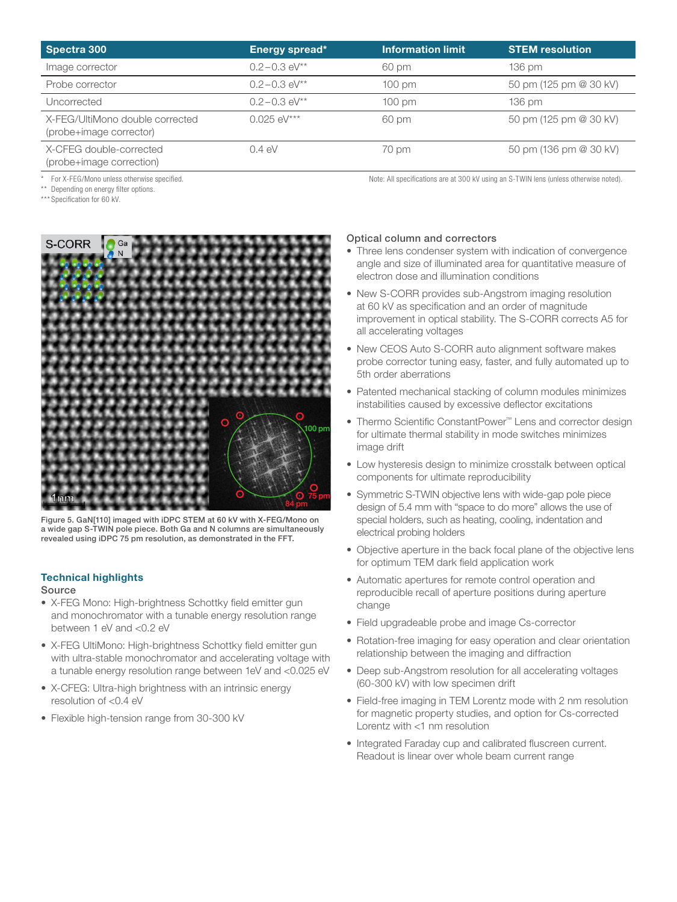| Spectra 300                                                | Energy spread*   | <b>Information limit</b> | <b>STEM resolution</b> |
|------------------------------------------------------------|------------------|--------------------------|------------------------|
| Image corrector                                            | $0.2 - 0.3$ eV** | 60 pm                    | $136 \text{ pm}$       |
| Probe corrector                                            | $0.2 - 0.3$ eV** | $100 \text{ pm}$         | 50 pm (125 pm @ 30 kV) |
| Uncorrected                                                | $0.2 - 0.3$ eV** | $100 \text{ pm}$         | 136 pm                 |
| X-FEG/UltiMono double corrected<br>(probe+image corrector) | $0.025$ eV***    | 60 pm                    | 50 pm (125 pm @ 30 kV) |
| X-CFEG double-corrected<br>(probe+image correction)        | $0.4 \text{ eV}$ | 70 pm                    | 50 pm (136 pm @ 30 kV) |

For X-FEG/Mono unless otherwise specified.  $\blacksquare$  Note: All specifications are at 300 kV using an S-TWIN lens (unless otherwise noted).

\*\* Depending on energy filter options.

\*\*\* Specification for 60 kV.



Figure 5. GaN[110] imaged with iDPC STEM at 60 kV with X-FEG/Mono on a wide gap S-TWIN pole piece. Both Ga and N columns are simultaneously revealed using iDPC 75 pm resolution, as demonstrated in the FFT.

#### Technical highlights

#### Source

- X-FEG Mono: High-brightness Schottky field emitter gun and monochromator with a tunable energy resolution range between 1 eV and <0.2 eV
- X-FEG UltiMono: High-brightness Schottky field emitter gun with ultra-stable monochromator and accelerating voltage with a tunable energy resolution range between 1eV and <0.025 eV
- X-CFEG: Ultra-high brightness with an intrinsic energy resolution of <0.4 eV
- Flexible high-tension range from 30-300 kV

#### Optical column and correctors

- Three lens condenser system with indication of convergence angle and size of illuminated area for quantitative measure of electron dose and illumination conditions
- New S-CORR provides sub-Angstrom imaging resolution at 60 kV as specification and an order of magnitude improvement in optical stability. The S-CORR corrects A5 for all accelerating voltages
- New CEOS Auto S-CORR auto alignment software makes probe corrector tuning easy, faster, and fully automated up to 5th order aberrations
- Patented mechanical stacking of column modules minimizes instabilities caused by excessive deflector excitations
- Thermo Scientific ConstantPower™ Lens and corrector design for ultimate thermal stability in mode switches minimizes image drift
- Low hysteresis design to minimize crosstalk between optical components for ultimate reproducibility
- Symmetric S-TWIN objective lens with wide-gap pole piece design of 5.4 mm with "space to do more" allows the use of special holders, such as heating, cooling, indentation and electrical probing holders
- Objective aperture in the back focal plane of the objective lens for optimum TEM dark field application work
- Automatic apertures for remote control operation and reproducible recall of aperture positions during aperture change
- Field upgradeable probe and image Cs-corrector
- Rotation-free imaging for easy operation and clear orientation relationship between the imaging and diffraction
- Deep sub-Angstrom resolution for all accelerating voltages (60-300 kV) with low specimen drift
- Field-free imaging in TEM Lorentz mode with 2 nm resolution for magnetic property studies, and option for Cs-corrected Lorentz with <1 nm resolution
- Integrated Faraday cup and calibrated fluscreen current. Readout is linear over whole beam current range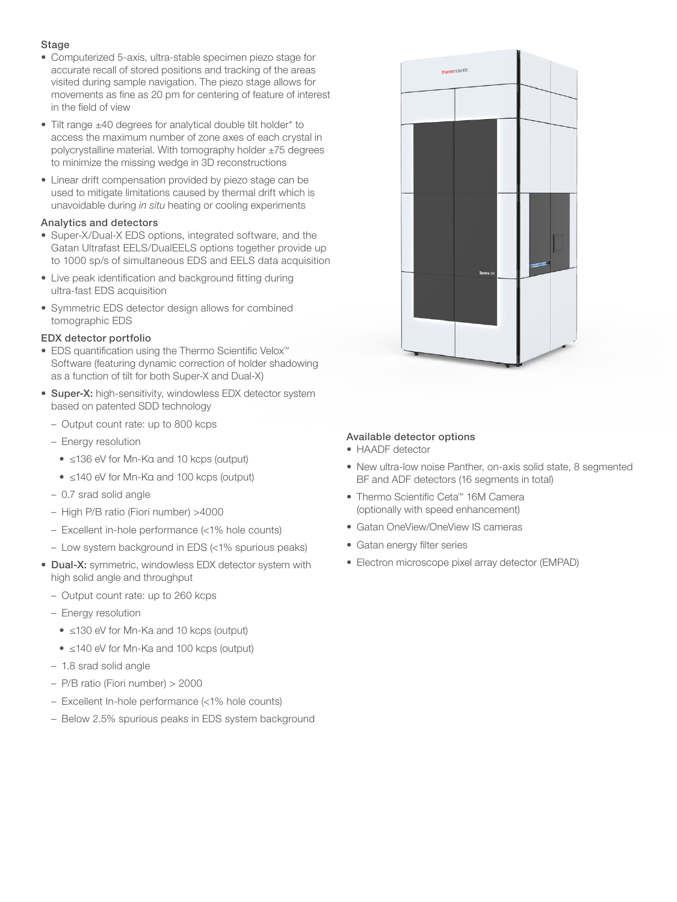#### Stage

- Computerized 5-axis, ultra-stable specimen piezo stage for accurate recall of stored positions and tracking of the areas visited during sample navigation. The piezo stage allows for movements as fine as 20 pm for centering of feature of interest in the field of view
- Tilt range ±40 degrees for analytical double tilt holder\* to access the maximum number of zone axes of each crystal in polycrystalline material. With tomography holder ±75 degrees to minimize the missing wedge in 3D reconstructions
- Linear drift compensation provided by piezo stage can be used to mitigate limitations caused by thermal drift which is unavoidable during *in situ* heating or cooling experiments

#### Analytics and detectors

- Super-X/Dual-X EDS options, integrated software, and the Gatan Ultrafast EELS/DualEELS options together provide up to 1000 sp/s of simultaneous EDS and EELS data acquisition
- Live peak identification and background fitting during ultra-fast EDS acquisition
- Symmetric EDS detector design allows for combined tomographic EDS

#### EDX detector portfolio

- EDS quantification using the Thermo Scientific Velox™ Software (featuring dynamic correction of holder shadowing as a function of tilt for both Super-X and Dual-X)
- Super-X: high-sensitivity, windowless EDX detector system based on patented SDD technology
	- Output count rate: up to 800 kcps
	- Energy resolution
		- ≤136 eV for Mn-Kα and 10 kcps (output)
		- ≤140 eV for Mn-Kα and 100 kcps (output)
	- 0.7 srad solid angle
	- High P/B ratio (Fiori number) >4000
	- Excellent in-hole performance (<1% hole counts)
	- Low system background in EDS (<1% spurious peaks)
- Dual-X: symmetric, windowless EDX detector system with high solid angle and throughput
	- Output count rate: up to 260 kcps
	- Energy resolution
		- ≤130 eV for Mn-Ka and 10 kcps (output)
		- ≤140 eV for Mn-Ka and 100 kcps (output)
	- 1.8 srad solid angle
	- P/B ratio (Fiori number) > 2000
	- Excellent In-hole performance (<1% hole counts)
	- Below 2.5% spurious peaks in EDS system background



#### Available detector options

• HAADF detector

- New ultra-low noise Panther, on-axis solid state, 8 segmented BF and ADF detectors (16 segments in total)
- Thermo Scientific Ceta™ 16M Camera (optionally with speed enhancement)
- Gatan OneView/OneView IS cameras
- Gatan energy filter series
- Electron microscope pixel array detector (EMPAD)